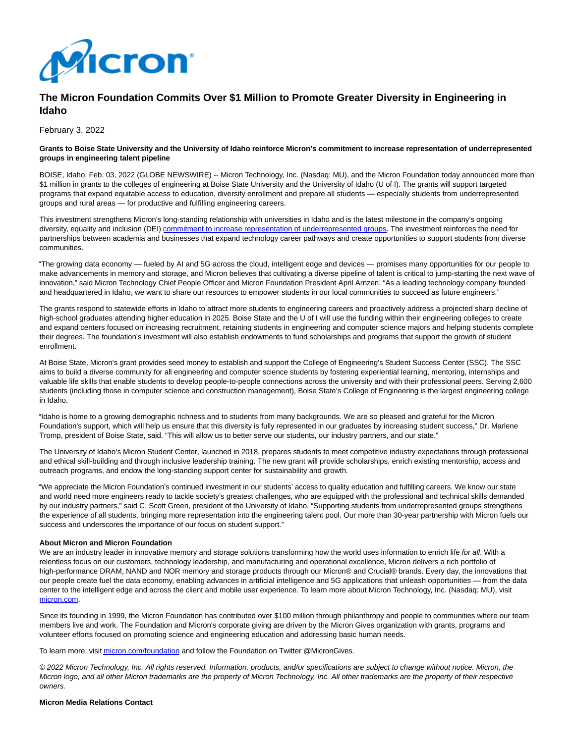

# **The Micron Foundation Commits Over \$1 Million to Promote Greater Diversity in Engineering in Idaho**

February 3, 2022

#### **Grants to Boise State University and the University of Idaho reinforce Micron's commitment to increase representation of underrepresented groups in engineering talent pipeline**

BOISE, Idaho, Feb. 03, 2022 (GLOBE NEWSWIRE) -- Micron Technology, Inc. (Nasdaq: MU), and the Micron Foundation today announced more than \$1 million in grants to the colleges of engineering at Boise State University and the University of Idaho (U of I). The grants will support targeted programs that expand equitable access to education, diversify enrollment and prepare all students — especially students from underrepresented groups and rural areas — for productive and fulfilling engineering careers.

This investment strengthens Micron's long-standing relationship with universities in Idaho and is the latest milestone in the company's ongoing diversity, equality and inclusion (DEI) [commitment to increase representation of underrepresented groups.](https://www.globenewswire.com/Tracker?data=abF_QRynKWidwFYlHeDDuRectkHg1fJLIcDrEqItchnn7Oh5zNDCySV_POsF6rjd5-d1E96xZRZVvBFtoT3CnKS8w1U02ccf-kAxVLDjmUmTjGladukGwlrT9WZMFsImrSkLum17hb3ME-zFbhCLHugzGQ5pUaMzyHHYquu1W5kilgnaNz9mxMiQuRNo5luyfPWdBEnB8bopIKYnr5ero4SvHzLbmdtuxm6M6qDTmZB-7gkOAJnbJWL05P2AmMfu) The investment reinforces the need for partnerships between academia and businesses that expand technology career pathways and create opportunities to support students from diverse communities.

"The growing data economy — fueled by AI and 5G across the cloud, intelligent edge and devices — promises many opportunities for our people to make advancements in memory and storage, and Micron believes that cultivating a diverse pipeline of talent is critical to jump-starting the next wave of innovation," said Micron Technology Chief People Officer and Micron Foundation President April Arnzen. "As a leading technology company founded and headquartered in Idaho, we want to share our resources to empower students in our local communities to succeed as future engineers."

The grants respond to statewide efforts in Idaho to attract more students to engineering careers and proactively address a projected sharp decline of high-school graduates attending higher education in 2025. Boise State and the U of I will use the funding within their engineering colleges to create and expand centers focused on increasing recruitment, retaining students in engineering and computer science majors and helping students complete their degrees. The foundation's investment will also establish endowments to fund scholarships and programs that support the growth of student enrollment.

At Boise State, Micron's grant provides seed money to establish and support the College of Engineering's Student Success Center (SSC). The SSC aims to build a diverse community for all engineering and computer science students by fostering experiential learning, mentoring, internships and valuable life skills that enable students to develop people-to-people connections across the university and with their professional peers. Serving 2,600 students (including those in computer science and construction management), Boise State's College of Engineering is the largest engineering college in Idaho.

"Idaho is home to a growing demographic richness and to students from many backgrounds. We are so pleased and grateful for the Micron Foundation's support, which will help us ensure that this diversity is fully represented in our graduates by increasing student success," Dr. Marlene Tromp, president of Boise State, said. "This will allow us to better serve our students, our industry partners, and our state."

The University of Idaho's Micron Student Center, launched in 2018, prepares students to meet competitive industry expectations through professional and ethical skill-building and through inclusive leadership training. The new grant will provide scholarships, enrich existing mentorship, access and outreach programs, and endow the long-standing support center for sustainability and growth.

"We appreciate the Micron Foundation's continued investment in our students' access to quality education and fulfilling careers. We know our state and world need more engineers ready to tackle society's greatest challenges, who are equipped with the professional and technical skills demanded by our industry partners," said C. Scott Green, president of the University of Idaho. "Supporting students from underrepresented groups strengthens the experience of all students, bringing more representation into the engineering talent pool. Our more than 30-year partnership with Micron fuels our success and underscores the importance of our focus on student support."

### **About Micron and Micron Foundation**

We are an industry leader in innovative memory and storage solutions transforming how the world uses information to enrich life for all. With a relentless focus on our customers, technology leadership, and manufacturing and operational excellence, Micron delivers a rich portfolio of high-performance DRAM, NAND and NOR memory and storage products through our Micron® and Crucial® brands. Every day, the innovations that our people create fuel the data economy, enabling advances in artificial intelligence and 5G applications that unleash opportunities — from the data center to the intelligent edge and across the client and mobile user experience. To learn more about Micron Technology, Inc. (Nasdaq: MU), visit [micron.com.](https://www.globenewswire.com/Tracker?data=AEOrHcDupnHPijqAC021vlM9Z7rpmwf30z0TG0Ptmve2WjoEP_x3D3ecBEYDzVDu3Qqv3qH8QwdxgaVrqMGLQA==)

Since its founding in 1999, the Micron Foundation has contributed over \$100 million through philanthropy and people to communities where our team members live and work. The Foundation and Micron's corporate giving are driven by the Micron Gives organization with grants, programs and volunteer efforts focused on promoting science and engineering education and addressing basic human needs.

To learn more, visi[t micron.com/foundation a](https://www.globenewswire.com/Tracker?data=AEOrHcDupnHPijqAC021vog3W2cIJf9yYpRLekkGJrpAX8XcGAlvyAW2ZnaKn-USbuwHAP4lDxW70AQMm6EVGxE8SudtsRO9vhmby8AFUmQ=)nd follow the Foundation on Twitter @MicronGives.

© 2022 Micron Technology, Inc. All rights reserved. Information, products, and/or specifications are subject to change without notice. Micron, the Micron logo, and all other Micron trademarks are the property of Micron Technology, Inc. All other trademarks are the property of their respective owners.

#### **Micron Media Relations Contact**